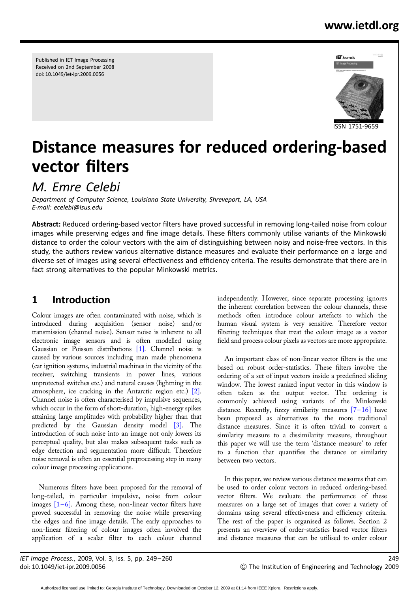Published in IET Image Processing Received on 2nd September 2008 doi: 10.1049/iet-ipr.2009.0056



Distance measures for reduced ordering-based vector filters

M. Emre Celebi

Department of Computer Science, Louisiana State University, Shreveport, LA, USA E-mail: ecelebi@lsus.edu

Abstract: Reduced ordering-based vector filters have proved successful in removing long-tailed noise from colour images while preserving edges and fine image details. These filters commonly utilise variants of the Minkowski distance to order the colour vectors with the aim of distinguishing between noisy and noise-free vectors. In this study, the authors review various alternative distance measures and evaluate their performance on a large and diverse set of images using several effectiveness and efficiency criteria. The results demonstrate that there are in fact strong alternatives to the popular Minkowski metrics.

#### 1 Introduction

Colour images are often contaminated with noise, which is introduced during acquisition (sensor noise) and/or transmission (channel noise). Sensor noise is inherent to all electronic image sensors and is often modelled using Gaussian or Poisson distributions [1]. Channel noise is caused by various sources including man made phenomena (car ignition systems, industrial machines in the vicinity of the receiver, switching transients in power lines, various unprotected switches etc.) and natural causes (lightning in the atmosphere, ice cracking in the Antarctic region etc.) [2]. Channel noise is often characterised by impulsive sequences, which occur in the form of short-duration, high-energy spikes attaining large amplitudes with probability higher than that predicted by the Gaussian density model [3]. The introduction of such noise into an image not only lowers its perceptual quality, but also makes subsequent tasks such as edge detection and segmentation more difficult. Therefore noise removal is often an essential preprocessing step in many colour image processing applications.

Numerous filters have been proposed for the removal of long-tailed, in particular impulsive, noise from colour images  $[1-6]$ . Among these, non-linear vector filters have proved successful in removing the noise while preserving the edges and fine image details. The early approaches to non-linear filtering of colour images often involved the application of a scalar filter to each colour channel

independently. However, since separate processing ignores the inherent correlation between the colour channels, these methods often introduce colour artefacts to which the human visual system is very sensitive. Therefore vector filtering techniques that treat the colour image as a vector field and process colour pixels as vectors are more appropriate.

An important class of non-linear vector filters is the one based on robust order-statistics. These filters involve the ordering of a set of input vectors inside a predefined sliding window. The lowest ranked input vector in this window is often taken as the output vector. The ordering is commonly achieved using variants of the Minkowski distance. Recently, fuzzy similarity measures  $[7-16]$  have been proposed as alternatives to the more traditional distance measures. Since it is often trivial to convert a similarity measure to a dissimilarity measure, throughout this paper we will use the term 'distance measure' to refer to a function that quantifies the distance or similarity between two vectors.

In this paper, we review various distance measures that can be used to order colour vectors in reduced ordering-based vector filters. We evaluate the performance of these measures on a large set of images that cover a variety of domains using several effectiveness and efficiency criteria. The rest of the paper is organised as follows. Section 2 presents an overview of order-statistics based vector filters and distance measures that can be utilised to order colour

IET Image Process., 2009, Vol. 3, Iss. 5, pp. 249– 260 249

doi: 10.1049/iet-ipr.2009.0056 & The Institution of Engineering and Technology 2009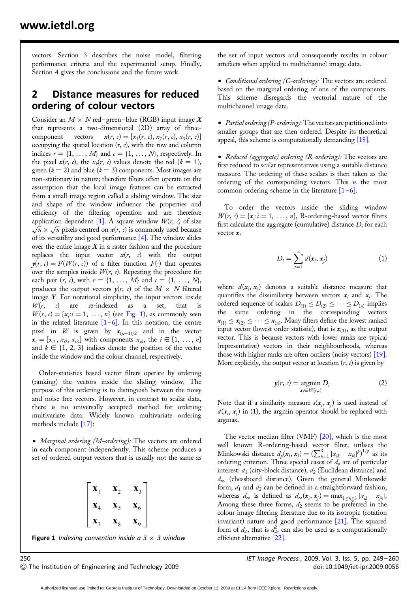vectors. Section 3 describes the noise model, filtering performance criteria and the experimental setup. Finally, Section 4 gives the conclusions and the future work.

#### 2 Distance measures for reduced ordering of colour vectors

Consider an  $M \times N$  red–green–blue (RGB) input image X that represents a two-dimensional (2D) array of threecomponent vectors  $x(r, c) = [x_1(r, c), x_2(r, c), x_3(r, c)]$ occupying the spatial location  $(r, c)$ , with the row and column indices  $r = \{1, ..., M\}$  and  $c = \{1, ..., N\}$ , respectively. In the pixel  $x(r, c)$ , the  $x_k(r, c)$  values denote the red  $(k = 1)$ , green ( $k = 2$ ) and blue ( $k = 3$ ) components. Most images are non-stationary in nature; therefore filters often operate on the assumption that the local image features can be extracted from a small image region called a sliding window. The size and shape of the window influence the properties and efficiency of the filtering operation and are therefore application dependent [1]. A square window  $W(r, c)$  of size application dependent [1]. A square window  $W(t, t)$  or size  $\sqrt{n} \times \sqrt{n}$  pixels centred on  $x(r, t)$  is commonly used because of its versatility and good performance [4]. The window slides over the entire image  $X$  in a raster fashion and the procedure replaces the input vector  $x(r, c)$  with the output  $y(r, c) = F(W(r, c))$  of a filter function  $F(\cdot)$  that operates over the samples inside  $W(r, c)$ . Repeating the procedure for each pair  $(r, c)$ , with  $r = \{1, ..., M\}$  and  $c = \{1, ..., N\}$ , produces the output vectors  $y(r, c)$  of the  $M \times N$  filtered image Y. For notational simplicity, the input vectors inside  $W(r, c)$  are re-indexed as a set, that is  $W(r, c) = \{x_i : i = 1, \ldots, n\}$  (see Fig. 1), as commonly seen in the related literature  $[1-6]$ . In this notation, the centre pixel in W is given by  $x_{(n+1)/2}$  and in the vector  $x_i = [x_{i1}, x_{i2}, x_{i3}]$  with components  $x_{ik}$ , the  $i \in \{1, ..., n\}$ and  $k \in \{1, 2, 3\}$  indices denote the position of the vector inside the window and the colour channel, respectively.

Order-statistics based vector filters operate by ordering (ranking) the vectors inside the sliding window. The purpose of this ordering is to distinguish between the noisy and noise-free vectors. However, in contrast to scalar data, there is no universally accepted method for ordering multivariate data. Widely known multivariate ordering methods include [17]:

• Marginal ordering (M-ordering): The vectors are ordered in each component independently. This scheme produces a set of ordered output vectors that is usually not the same as



Figure 1 Indexing convention inside a  $3 \times 3$  window

the set of input vectors and consequently results in colour artefacts when applied to multichannel image data.

• Conditional ordering (C-ordering): The vectors are ordered based on the marginal ordering of one of the components. This scheme disregards the vectorial nature of the multichannel image data.

• Partial ordering (P-ordering): The vectors are partitioned into smaller groups that are then ordered. Despite its theoretical appeal, this scheme is computationally demanding  $[18]$ .

• Reduced (aggregate) ordering  $(R$ -ordering): The vectors are first reduced to scalar representatives using a suitable distance measure. The ordering of these scalars is then taken as the ordering of the corresponding vectors. This is the most common ordering scheme in the literature  $[1-6]$ .

To order the vectors inside the sliding window  $W(r, c) = \{x_i : i = 1, \ldots, n\}$ , R-ordering-based vector filters first calculate the aggregate (cumulative) distance  $D_i$  for each vector  $x_i$ 

$$
D_i = \sum_{j=1}^n d(\mathbf{x}_i, \mathbf{x}_j) \tag{1}
$$

where  $d(x_i, x_j)$  denotes a suitable distance measure that quantifies the dissimilarity between vectors  $x_i$  and  $x_j$ . The ordered sequence of scalars  $D_{(1)} \leq D_{(2)} \leq \cdots \leq D_{(n)}$  implies the same ordering in the corresponding vectors  $x_{(1)} \leq x_{(2)} \leq \cdots \leq x_{(n)}$ . Many filters define the lowest ranked input vector (lowest order-statistic), that is  $x_{(1)}$ , as the output vector. This is because vectors with lower ranks are typical (representative) vectors in their neighbourhoods, whereas those with higher ranks are often outliers (noisy vectors) [19]. More explicitly, the output vector at location  $(r, c)$  is given by

$$
y(r, c) = \underset{x_i \in W(r, c)}{\operatorname{argmin}} D_i \tag{2}
$$

Note that if a similarity measure  $s(x_i, x_j)$  is used instead of  $d(x_i, x_j)$  in (1), the argmin operator should be replaced with argmax.

The vector median filter (VMF) [20], which is the most well known R-ordering-based vector filter, utilises the Minkowski distance  $d_p(x_i, x_j) = (\sum_{k=1}^3 |x_{ik} - x_{jk}|^p)^{1/p}$  as its ordering criterion. Three special cases of  $d_p$  are of particular interest:  $d_1$  (city-block distance),  $d_2$  (Euclidean distance) and  $d_{\infty}$  (chessboard distance). Given the general Minkowski form,  $d_1$  and  $d_2$  can be defined in a straightforward fashion, whereas  $d_{\infty}$  is defined as  $d_{\infty}(x_i, x_j) = \max_{1 \leq k \leq 3} |x_{ik} - x_{jk}|$ . Among these three forms,  $d_2$  seems to be preferred in the colour image filtering literature due to its isotropic (rotation invariant) nature and good performance [21]. The squared form of  $d_2$ , that is  $d_2$ , can also be used as a computationally efficient alternative [22].

250 IET Image Process., 2009, Vol. 3, Iss. 5, pp. 249– 260

Authorized licensed use limited to: Georgia Institute of Technology. Downloaded on October 12, 2009 at 01:14 from IEEE Xplore. Restrictions apply.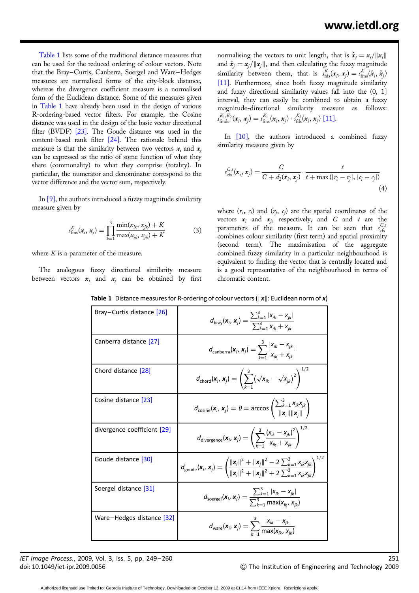Table 1 lists some of the traditional distance measures that can be used for the reduced ordering of colour vectors. Note that the Bray–Curtis, Canberra, Soergel and Ware–Hedges measures are normalised forms of the city-block distance, whereas the divergence coefficient measure is a normalised form of the Euclidean distance. Some of the measures given in Table 1 have already been used in the design of various R-ordering-based vector filters. For example, the Cosine distance was used in the design of the basic vector directional filter (BVDF) [23]. The Goude distance was used in the content-based rank filter  $[24]$ . The rationale behind this measure is that the similarity between two vectors  $x_i$  and  $x_j$ can be expressed as the ratio of some function of what they share (commonality) to what they comprise (totality). In particular, the numerator and denominator correspond to the vector difference and the vector sum, respectively.

In [9], the authors introduced a fuzzy magnitude similarity measure given by

$$
s_{\text{fms}}^{K}(x_{i}, x_{j}) = \prod_{k=1}^{3} \frac{\min(x_{ik}, x_{jk}) + K}{\max(x_{ik}, x_{jk}) + K}
$$
(3)

where  $K$  is a parameter of the measure.

The analogous fuzzy directional similarity measure between vectors  $x_i$  and  $x_j$  can be obtained by first normalising the vectors to unit length, that is  $\hat{x}_i = x_i/||x_i||$ and  $\hat{x}_i = x_i/||x_i||$ , and then calculating the fuzzy magnitude similarity between them, that is  $s_{\text{fids}}^K(\boldsymbol{x}_i, \boldsymbol{x}_j) = s_{\text{fms}}^K(\hat{\boldsymbol{x}}_i, \hat{\boldsymbol{x}}_j)$ [11]. Furthermore, since both fuzzy magnitude similarity and fuzzy directional similarity values fall into the (0, 1] interval, they can easily be combined to obtain a fuzzy magnitude-directional similarity measure as follows:  $s_{\text{fmds}}^{K_1,K_2}(\pmb{x}_i,\pmb{x}_j) = s_{\text{fms}}^{K_1}(\pmb{x}_i,\pmb{x}_j) \cdot s_{\text{fds}}^{K_2}(\pmb{x}_i,\pmb{x}_j)$  [11].

In [10], the authors introduced a combined fuzzy similarity measure given by

$$
s_{\text{cts}}^{C,t}(\mathbf{x}_i, \mathbf{x}_j) = \frac{C}{C + d_2(\mathbf{x}_i, \mathbf{x}_j)} \cdot \frac{t}{t + \max(|r_i - r_j|, |c_i - c_j|)}
$$
(4)

where  $(r_i, c_i)$  and  $(r_j, c_j)$  are the spatial coordinates of the vectors  $x_i$  and  $x_j$ , respectively, and C and t are the parameters of the measure. It can be seen that  $s_{\text{cfs}}^{C,1}$ combines colour similarity (first term) and spatial proximity (second term). The maximisation of the aggregate combined fuzzy similarity in a particular neighbourhood is equivalent to finding the vector that is centrally located and is a good representative of the neighbourhood in terms of chromatic content.

| Bray-Curtis distance [26]   | $d_{\text{bray}}(\mathbf{x}_i, \mathbf{x}_j) = \frac{\sum_{k=1}^{3}  x_{ik} - x_{jk} }{\sum_{k=1}^{3} x_{ik} + x_{ik}}$                                                                                               |
|-----------------------------|-----------------------------------------------------------------------------------------------------------------------------------------------------------------------------------------------------------------------|
| Canberra distance [27]      | $d_{\text{canbern}}(\mathbf{x}_i, \mathbf{x}_j) = \sum_{i=1}^{N} \frac{ X_{ik} - X_{jk} }{ X_{ik} + X_{ik} }$                                                                                                         |
| Chord distance [28]         | $d_{\text{chord}}(\mathbf{x}_i, \mathbf{x}_j) = \left(\sum_{k=1}^3 (\sqrt{x}_{ik} - \sqrt{x}_{jk})^2\right)^{-1}$                                                                                                     |
| Cosine distance [23]        | $d_{\text{cosine}}(\mathbf{x}_i, \mathbf{x}_j) = \theta = \arccos\left(\frac{\sum_{k=1}^{s} x_{ik} x_{jk}}{\ \mathbf{x}_i\ \ \mathbf{x}_i\ }\right)$                                                                  |
| divergence coefficient [29] | $d_{\text{divergence}}(\mathbf{x}_i, \mathbf{x}_j) = \left(\sum_{k=1}^3 \frac{(x_{ik} - x_{jk})^2}{x_{ik} + x_{ik}}\right)^{-1}$                                                                                      |
| Goude distance [30]         | $d_{\text{goude}}(\mathbf{x}_i, \mathbf{x}_j) = \left( \frac{\ \mathbf{x}_i\ ^2 + \ \mathbf{x}_j\ ^2 - 2 \sum_{k=1}^3 x_{ik} x_{jk}}{\ \mathbf{x}_i\ ^2 + \ \mathbf{x}_i\ ^2 + 2 \sum_{k=1}^3 x_{ik} x_{jk}} \right)$ |
| Soergel distance [31]       | $d_{\text{soergel}}(\mathbf{x}_{i}, \mathbf{x}_{j}) = \frac{\sum_{k=1}^{3}  x_{ik} - x_{jk} }{\sum_{k=1}^{3} \max(x_{ik}, x_{ik})}$                                                                                   |
| Ware-Hedges distance [32]   | $d_{\text{ware}}(\mathbf{x}_i, \mathbf{x}_j) = \sum_{i=1}^{J} \frac{ X_{ik} - X_{jk} }{\max(x_{ik}, x_{ik})}$                                                                                                         |

Table 1 Distance measures for R-ordering of colour vectors ( $\|x\|$ : Euclidean norm of x)

IET Image Process., 2009, Vol. 3, Iss. 5, pp. 249– 260 251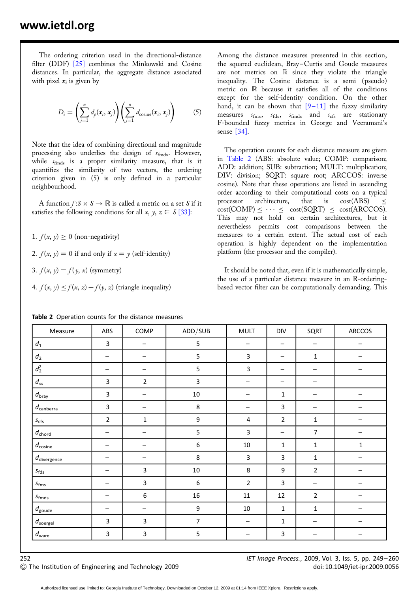The ordering criterion used in the directional-distance filter (DDF) [25] combines the Minkowski and Cosine distances. In particular, the aggregate distance associated with pixel  $x_i$  is given by

$$
D_i = \left(\sum_{j=1}^n d_p(\mathbf{x}_i, \mathbf{x}_j)\right) \left(\sum_{j=1}^n d_{\text{cosine}}(\mathbf{x}_i, \mathbf{x}_j)\right) \tag{5}
$$

Note that the idea of combining directional and magnitude processing also underlies the design of  $s_{\text{fmds}}$ . However, while s<sub>fmds</sub> is a proper similarity measure, that is it quantifies the similarity of two vectors, the ordering criterion given in (5) is only defined in a particular neighbourhood.

A function  $f : S \times S \to \mathbb{R}$  is called a metric on a set S if it satisfies the following conditions for all  $x, y, z \in S[33]$ :

1.  $f(x, y) \ge 0$  (non-negativity)

2.  $f(x, y) = 0$  if and only if  $x = y$  (self-identity)

- 3.  $f(x, y) = f(y, x)$  (symmetry)
- 4.  $f(x, y) \leq f(x, z) + f(y, z)$  (triangle inequality)

Among the distance measures presented in this section, the squared euclidean, Bray-Curtis and Goude measures are not metrics on  $\mathbb R$  since they violate the triangle inequality. The Cosine distance is a semi (pseudo) metric on R because it satisfies all of the conditions except for the self-identity condition. On the other hand, it can be shown that  $[9-11]$  the fuzzy similarity measures  $s_{\text{fms}}$ ,  $s_{\text{fds}}$ ,  $s_{\text{fmds}}$  and  $s_{\text{cfs}}$  are stationary F-bounded fuzzy metrics in George and Veeramani's sense [34].

The operation counts for each distance measure are given in Table 2 (ABS: absolute value; COMP: comparison; ADD: addition; SUB: subtraction; MULT: multiplication; DIV: division; SQRT: square root; ARCCOS: inverse cosine). Note that these operations are listed in ascending order according to their computational costs on a typical processor architecture, that is cost(ABS)  $cost(COMP) \leq \cdots \leq cost(SQRT) \leq cost(ARCCOS).$ This may not hold on certain architectures, but it nevertheless permits cost comparisons between the measures to a certain extent. The actual cost of each operation is highly dependent on the implementation platform (the processor and the compiler).

It should be noted that, even if it is mathematically simple, the use of a particular distance measure in an R-orderingbased vector filter can be computationally demanding. This

| Measure                     | ABS            | COMP           | ADD/SUB          | <b>MULT</b>    | <b>DIV</b>        | SQRT              | ARCCOS       |
|-----------------------------|----------------|----------------|------------------|----------------|-------------------|-------------------|--------------|
| $\boldsymbol{d}_1$          | $\overline{3}$ | —              | 5                | —              | $\qquad \qquad -$ | $\qquad \qquad -$ |              |
| $\boldsymbol{d}_2$          | —              |                | 5                | $\overline{3}$ |                   | $\mathbf{1}$      |              |
| $d_2^2$                     | -              | -              | 5                | $\overline{3}$ |                   | —                 |              |
| $d_{\infty}$                | $\mathsf{3}$   | $\overline{2}$ | $\overline{3}$   | -              |                   | —                 |              |
| $d_{\rm bray}$              | $\mathbf{3}$   |                | $10\,$           |                | $\mathbf{1}$      |                   |              |
| $d_{\mathsf{canberra}}$     | $\mathbf{3}$   | -              | 8                | -              | 3                 | —                 |              |
| $\mathsf{s}_{\mathsf{cfs}}$ | $\overline{2}$ | $\mathbf{1}$   | 9                | 4              | $\overline{2}$    | $\mathbf{1}$      |              |
| $d_{\mathsf{chord}}$        |                |                | 5                | $\overline{3}$ |                   | $\overline{7}$    |              |
| $d_{\text{cosine}}$         | -              | -              | $\boldsymbol{6}$ | 10             | $\mathbf{1}$      | $\mathbf 1$       | $\mathbf{1}$ |
| $d_{\text{divergence}}$     | —              | —              | 8                | $\overline{3}$ | 3                 | $\mathbf{1}$      |              |
| $s_{\mathsf{fds}}$          | —              | 3              | $10\,$           | 8              | 9                 | $\overline{2}$    |              |
| $s_{\mathsf{fms}}$          |                | 3              | $\boldsymbol{6}$ | $\overline{2}$ | 3                 | —                 |              |
| $S_{\rm fmds}$              |                | 6              | $16\,$           | $11\,$         | $12\,$            | $\overline{2}$    |              |
| $d_{\rm{goude}}$            |                | -              | 9                | 10             | $\mathbf 1$       | $\mathbf 1$       |              |
| $d_{\sf soergel}$           | $\overline{3}$ | 3              | $\overline{7}$   | —              | $\mathbf 1$       | —                 |              |
| $d_{\text{ware}}$           | $\mathsf{3}$   | 3              | 5                |                | 3                 |                   |              |

Table 2 Operation counts for the distance measures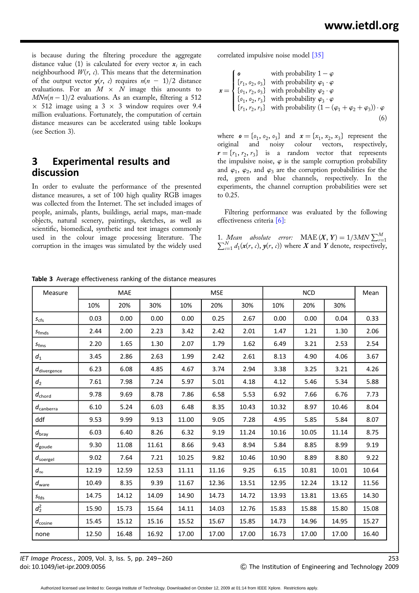is because during the filtering procedure the aggregate distance value (1) is calculated for every vector  $x_i$  in each neighbourhood  $W(r, c)$ . This means that the determination of the output vector  $y(r, c)$  requires  $n(n - 1)/2$  distance evaluations. For an  $M \times N$  image this amounts to  $MNn(n - 1)/2$  evaluations. As an example, filtering a 512  $\times$  512 image using a 3  $\times$  3 window requires over 9.4 million evaluations. Fortunately, the computation of certain distance measures can be accelerated using table lookups (see Section 3).

#### 3 Experimental results and discussion

In order to evaluate the performance of the presented distance measures, a set of 100 high quality RGB images was collected from the Internet. The set included images of people, animals, plants, buildings, aerial maps, man-made objects, natural scenery, paintings, sketches, as well as scientific, biomedical, synthetic and test images commonly used in the colour image processing literature. The corruption in the images was simulated by the widely used correlated impulsive noise model [35]

$$
\mathbf{x} = \begin{cases}\n\mathbf{0} & \text{with probability } 1 - \varphi \\
\{r_1, o_2, o_3\} & \text{with probability } \varphi_1 \cdot \varphi \\
\{o_1, r_2, o_3\} & \text{with probability } \varphi_2 \cdot \varphi \\
\{o_1, o_2, r_3\} & \text{with probability } \varphi_3 \cdot \varphi \\
\{r_1, r_2, r_3\} & \text{with probability } (1 - (\varphi_1 + \varphi_2 + \varphi_3)) \cdot \varphi \\
\end{cases}
$$
\n(6)

where  $\mathbf{o} = \{o_1, o_2, o_3\}$  and  $\mathbf{x} = \{x_1, x_2, x_3\}$  represent the original and noisy colour vectors, respectively,  $r = \{r_1, r_2, r_3\}$  is a random vector that represents the impulsive noise,  $\varphi$  is the sample corruption probability and  $\varphi_1$ ,  $\varphi_2$ , and  $\varphi_3$  are the corruption probabilities for the red, green and blue channels, respectively. In the experiments, the channel corruption probabilities were set to 0.25.

Filtering performance was evaluated by the following effectiveness criteria [6]:

1. *Mean absolute error:* MAE(*X*, *Y*) = 1/3*MN*  $\sum_{r=1}^{M}$ <br> $\sum_{c=1}^{N} d_1(\mathbf{x}(r, c), \mathbf{y}(r, c))$  where *X* and *Y* denote, respectively,

Table 3 Average effectiveness ranking of the distance measures

| Measure                 | MAE   |       | <b>MSE</b> |       | <b>NCD</b> |       |       | Mean  |       |       |
|-------------------------|-------|-------|------------|-------|------------|-------|-------|-------|-------|-------|
|                         | 10%   | 20%   | 30%        | 10%   | 20%        | 30%   | 10%   | 20%   | 30%   |       |
| $S_{\mathrm{cfs}}$      | 0.03  | 0.00  | 0.00       | 0.00  | 0.25       | 2.67  | 0.00  | 0.00  | 0.04  | 0.33  |
| $s_{\rm fmds}$          | 2.44  | 2.00  | 2.23       | 3.42  | 2.42       | 2.01  | 1.47  | 1.21  | 1.30  | 2.06  |
| $s_{\rm fms}$           | 2.20  | 1.65  | 1.30       | 2.07  | 1.79       | 1.62  | 6.49  | 3.21  | 2.53  | 2.54  |
| $d_1$                   | 3.45  | 2.86  | 2.63       | 1.99  | 2.42       | 2.61  | 8.13  | 4.90  | 4.06  | 3.67  |
| $d_{divergence}$        | 6.23  | 6.08  | 4.85       | 4.67  | 3.74       | 2.94  | 3.38  | 3.25  | 3.21  | 4.26  |
| $d_2$                   | 7.61  | 7.98  | 7.24       | 5.97  | 5.01       | 4.18  | 4.12  | 5.46  | 5.34  | 5.88  |
| $d_{\mathsf{chord}}$    | 9.78  | 9.69  | 8.78       | 7.86  | 6.58       | 5.53  | 6.92  | 7.66  | 6.76  | 7.73  |
| $d_{\mathsf{canberra}}$ | 6.10  | 5.24  | 6.03       | 6.48  | 8.35       | 10.43 | 10.32 | 8.97  | 10.46 | 8.04  |
| ddf                     | 9.53  | 9.99  | 9.13       | 11.00 | 9.05       | 7.28  | 4.95  | 5.85  | 5.84  | 8.07  |
| $d_{\rm bray}$          | 6.03  | 6.40  | 8.26       | 6.32  | 9.19       | 11.24 | 10.16 | 10.05 | 11.14 | 8.75  |
| $d_{\rm{goude}}$        | 9.30  | 11.08 | 11.61      | 8.66  | 9.43       | 8.94  | 5.84  | 8.85  | 8.99  | 9.19  |
| $d_{\sf{soergel}}$      | 9.02  | 7.64  | 7.21       | 10.25 | 9.82       | 10.46 | 10.90 | 8.89  | 8.80  | 9.22  |
| $d_{\infty}$            | 12.19 | 12.59 | 12.53      | 11.11 | 11.16      | 9.25  | 6.15  | 10.81 | 10.01 | 10.64 |
| $d_{\mathsf{ware}}$     | 10.49 | 8.35  | 9.39       | 11.67 | 12.36      | 13.51 | 12.95 | 12.24 | 13.12 | 11.56 |
| $S_{\mathsf{fds}}$      | 14.75 | 14.12 | 14.09      | 14.90 | 14.73      | 14.72 | 13.93 | 13.81 | 13.65 | 14.30 |
| $d_2^2$                 | 15.90 | 15.73 | 15.64      | 14.11 | 14.03      | 12.76 | 15.83 | 15.88 | 15.80 | 15.08 |
| $d_{\text{cosine}}$     | 15.45 | 15.12 | 15.16      | 15.52 | 15.67      | 15.85 | 14.73 | 14.96 | 14.95 | 15.27 |
| none                    | 12.50 | 16.48 | 16.92      | 17.00 | 17.00      | 17.00 | 16.73 | 17.00 | 17.00 | 16.40 |

IET Image Process., 2009, Vol. 3, Iss. 5, pp. 249–260 253 doi: 10.1049/iet-ipr.2009.0056 & The Institution of Engineering and Technology 2009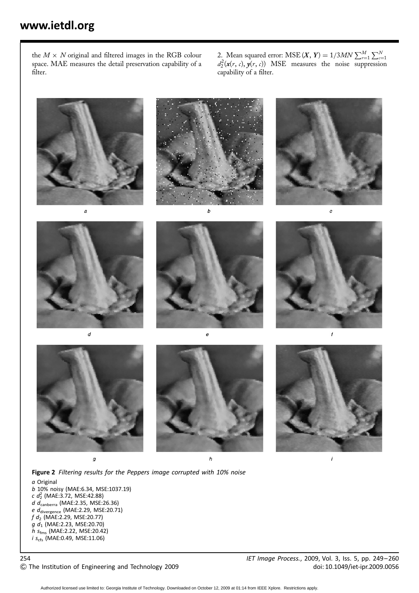the  $M \times N$  original and filtered images in the RGB colour space. MAE measures the detail preservation capability of a filter.

2. Mean squared error: MSE  $(X, Y) = 1/3MN \sum_{r=1}^{M} \sum_{c=1}^{N} d_2^2(x(r, c), y(r, c))$  MSE measures the noise suppression capability of a filter.



 $\boldsymbol{g}$ 

 $\overline{I}$ 

Figure 2 Filtering results for the Peppers image corrupted with 10% noise a Original b 10% noisy (MAE:6.34, MSE:1037.19)  $c d_2^2$  (MAE:3.72, MSE:42.88)  $d$   $d$ <sub>canberra</sub> (MAE:2.35, MSE:26.36) e d<sub>divergence</sub> (MAE:2.29, MSE:20.71) f d<sub>2</sub> (MAE:2.29, MSE:20.77)  $g$   $d_1$  (MAE:2.23, MSE:20.70) h sfms (MAE:2.22, MSE:20.42)  $i s_{\text{cfs}}$  (MAE:0.49, MSE:11.06)

254 IET Image Process., 2009, Vol. 3, Iss. 5, pp. 249– 260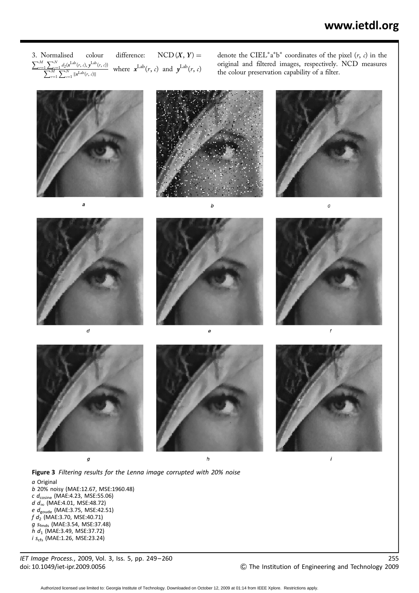| 3. Normalised colour difference:                                                                                                                                                                             |  |  | $NCD(X, Y) =$ |
|--------------------------------------------------------------------------------------------------------------------------------------------------------------------------------------------------------------|--|--|---------------|
| $\frac{\sum_{r=1}^M\sum_{c=1}^N d_2(x^{\text{Lab}}(r,c), y^{\text{Lab}}(r,c))}{\sum_{r=1}^M\sum_{c=1}^N\ x^{\text{Lab}}(r,c)\ } \;\text{ where }\; x^{\text{Lab}}(r,c)\; \text{ and }\; y^{\text{Lab}}(r,c)$ |  |  |               |
|                                                                                                                                                                                                              |  |  |               |

denote the CIEL<sup>\*</sup>a<sup>\*</sup>b<sup>\*</sup> coordinates of the pixel  $(r, c)$  in the original and filtered images, respectively. NCD measures the colour preservation capability of a filter.



 $\boldsymbol{g}$ 

 $i s_{\text{cfs}}$  (MAE:1.26, MSE:23.24)

Figure 3 Filtering results for the Lenna image corrupted with 20% noise a Original b 20% noisy (MAE:12.67, MSE:1960.48)  $c d_{\text{cosine}}$  (MAE:4.23, MSE:55.06)  $d d_{\infty}$  (MAE:4.01, MSE:48.72) e d<sub>goude</sub> (MAE:3.75, MSE:42.51)  $f d_2$  (MAE:3.70, MSE:40.71) g s<sub>fmds</sub> (MAE:3.54, MSE:37.48)  $h$   $d_1$  (MAE:3.49, MSE:37.72)

IET Image Process., 2009, Vol. 3, Iss. 5, pp. 249–260 255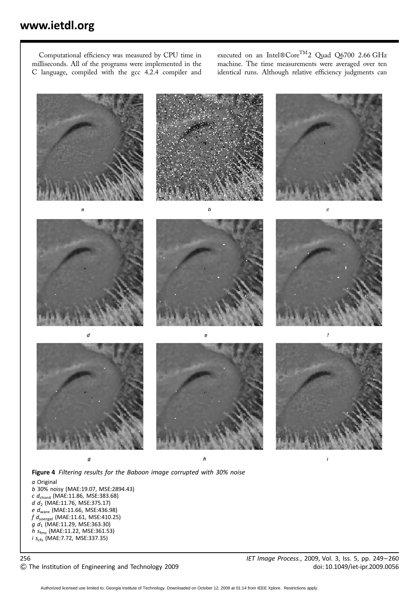Computational efficiency was measured by CPU time in milliseconds. All of the programs were implemented in the C language, compiled with the gcc 4.2.4 compiler and executed on an Intel<br>®Core $^{\rm TM}2$  Quad Q6700 2.66 GHz machine. The time measurements were averaged over ten identical runs. Although relative efficiency judgments can



Figure 4 Filtering results for the Baboon image corrupted with 30% noise a Original b 30% noisy (MAE:19.07, MSE:2894.43)  $c d_{chord}$  (MAE:11.86, MSE:383.68) d d<sub>2</sub> (MAE:11.76, MSE:375.17) e dware (MAE:11.66, MSE:436.98)  $f d_{\text{soergel}}$  (MAE:11.61, MSE:410.25)  $g$   $d_1$  (MAE:11.29, MSE:363.30)

 $i s_{\text{cfs}}$  (MAE:7.72, MSE:337.35)

h sfms (MAE:11.22, MSE:361.53)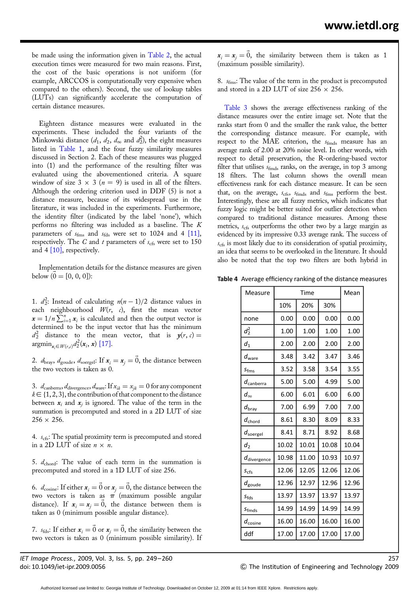be made using the information given in Table 2, the actual execution times were measured for two main reasons. First, the cost of the basic operations is not uniform (for example, ARCCOS is computationally very expensive when compared to the others). Second, the use of lookup tables (LUTs) can significantly accelerate the computation of certain distance measures.

Eighteen distance measures were evaluated in the experiments. These included the four variants of the Minkowski distance  $(d_1, d_2, d_\infty$  and  $d_2^2)$ , the eight measures listed in Table 1, and the four fuzzy similarity measures discussed in Section 2. Each of these measures was plugged into (1) and the performance of the resulting filter was evaluated using the abovementioned criteria. A square window of size  $3 \times 3$  ( $n = 9$ ) is used in all of the filters. Although the ordering criterion used in DDF (5) is not a distance measure, because of its widespread use in the literature, it was included in the experiments. Furthermore, the identity filter (indicated by the label 'none'), which performs no filtering was included as a baseline. The K parameters of  $s_{\text{fms}}$  and  $s_{\text{fds}}$  were set to 1024 and 4 [11], respectively. The C and t parameters of  $s_{\text{cfs}}$  were set to 150 and 4 [10], respectively.

Implementation details for the distance measures are given below  $(0 = [0, 0, 0])$ :

1.  $d_2^2$ : Instead of calculating  $n(n-1)/2$  distance values in each neighbourhood  $W(r, c)$ , first the mean vector  $x = 1/n \sum_{i=1}^{n} x_i$  is calculated and then the output vector is determined to be the input vector that has the minimum  $d_2^2$  distance to the mean vector, that is  $y(r, c) =$ argmin $_{x_i \in W(r,c)} d_2^2(x_i, x)$  [17].

2.  $d_{\text{bray}}, d_{\text{goude}}, d_{\text{soergel}}$ : If  $x_i = x_j = 0$ , the distance between the two vectors is taken as 0.

3.  $d_{\text{camberra}}, d_{\text{divergence}}, d_{\text{ware}}$ : If  $x_{ik} = x_{ik} = 0$  for any component  $k \in \{1, 2, 3\}$ , the contribution of that component to the distance between  $x_i$  and  $x_j$  is ignored. The value of the term in the summation is precomputed and stored in a 2D LUT of size  $256 \times 256$ .

4.  $s_{\text{cfs}}$ : The spatial proximity term is precomputed and stored in a 2D LUT of size  $n \times n$ .

5.  $d_{\text{chord}}$ : The value of each term in the summation is precomputed and stored in a 1D LUT of size 256.

6.  $d_{\text{cosine}}$ : If either  $x_i = 0$  or  $x_i = 0$ , the distance between the two vectors is taken as  $\pi$  (maximum possible angular distance). If  $x_i = x_j = 0$ , the distance between them is taken as 0 (minimum possible angular distance).

7.  $s_{\text{fds}}$ : If either  $x_i = 0$  or  $x_j = 0$ , the similarity between the two vectors is taken as 0 (minimum possible similarity). If  $x_i = x_j = 0$ , the similarity between them is taken as 1 (maximum possible similarity).

8.  $s_{\text{fms}}$ : The value of the term in the product is precomputed and stored in a 2D LUT of size  $256 \times 256$ .

Table 3 shows the average effectiveness ranking of the distance measures over the entire image set. Note that the ranks start from 0 and the smaller the rank value, the better the corresponding distance measure. For example, with respect to the MAE criterion, the sfmds measure has an average rank of 2.00 at 20% noise level. In other words, with respect to detail preservation, the R-ordering-based vector filter that utilises  $s_{\text{fmds}}$  ranks, on the average, in top 3 among 18 filters. The last column shows the overall mean effectiveness rank for each distance measure. It can be seen that, on the average,  $s_{\text{cfs}}$ ,  $s_{\text{fmds}}$  and  $s_{\text{fms}}$  perform the best. Interestingly, these are all fuzzy metrics, which indicates that fuzzy logic might be better suited for outlier detection when compared to traditional distance measures. Among these metrics,  $s_{\text{cfs}}$  outperforms the other two by a large margin as evidenced by its impressive 0.33 average rank. The success of  $s_{\rm cfs}$  is most likely due to its consideration of spatial proximity, an idea that seems to be overlooked in the literature. It should also be noted that the top two filters are both hybrid in

Table 4 Average efficiency ranking of the distance measures

| Measure                 |       | Mean  |       |       |
|-------------------------|-------|-------|-------|-------|
|                         | 10%   | 20%   | 30%   |       |
| none                    | 0.00  | 0.00  | 0.00  | 0.00  |
| $d_2^2$                 | 1.00  | 1.00  | 1.00  | 1.00  |
| $d_1$                   | 2.00  | 2.00  | 2.00  | 2.00  |
| $d_{\mathsf{ware}}$     | 3.48  | 3.42  | 3.47  | 3.46  |
| $S_{\text{fms}}$        | 3.52  | 3.58  | 3.54  | 3.55  |
| $d_{\mathsf{canberra}}$ | 5.00  | 5.00  | 4.99  | 5.00  |
| $d_{\infty}$            | 6.00  | 6.01  | 6.00  | 6.00  |
| $d_{\rm bray}$          | 7.00  | 6.99  | 7.00  | 7.00  |
| $d_{chord}$             | 8.61  | 8.30  | 8.09  | 8.33  |
| $d_{\rm{soergel}}$      | 8.41  | 8.71  | 8.92  | 8.68  |
| $d_2$                   | 10.02 | 10.01 | 10.08 | 10.04 |
| $d_{divergence}$        | 10.98 | 11.00 | 10.93 | 10.97 |
| $S_{\rm cfs}$           | 12.06 | 12.05 | 12.06 | 12.06 |
| $d_{\rm{goude}}$        | 12.96 | 12.97 | 12.96 | 12.96 |
| $S_{\text{fds}}$        | 13.97 | 13.97 | 13.97 | 13.97 |
| Sfmds                   | 14.99 | 14.99 | 14.99 | 14.99 |
| $d_{\text{cosine}}$     | 16.00 | 16.00 | 16.00 | 16.00 |
| ddf                     | 17.00 | 17.00 | 17.00 | 17.00 |

Authorized licensed use limited to: Georgia Institute of Technology. Downloaded on October 12, 2009 at 01:14 from IEEE Xplore. Restrictions apply.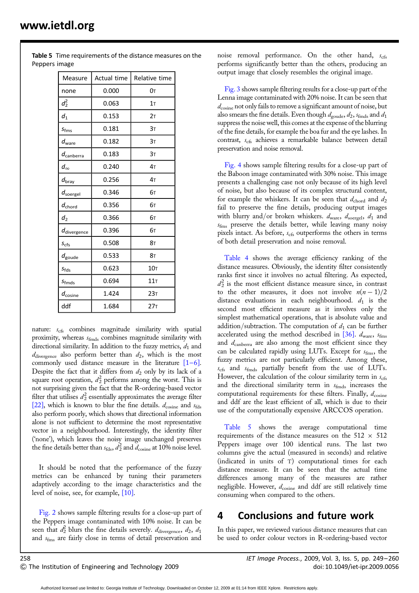| Measure                 | Actual time | Relative time   |  |  |
|-------------------------|-------------|-----------------|--|--|
| none                    | 0.000       | 0T              |  |  |
| $d_2^2$                 | 0.063       | 1 <sub>T</sub>  |  |  |
| $d_1$                   | 0.153       | 2 <sub>T</sub>  |  |  |
| $S_{\text{fms}}$        | 0.181       | 3 <sub>T</sub>  |  |  |
| $d_{\text{ware}}$       | 0.182       | 3 <sub>T</sub>  |  |  |
| $d_{\text{canberra}}$   | 0.183       | 3 <sub>T</sub>  |  |  |
| $d_{\infty}$            | 0.240       | 4 <sub>T</sub>  |  |  |
| $d_{\rm bray}$          | 0.256       | 4 <sub>T</sub>  |  |  |
| $d_{\text{soergel}}$    | 0.346       | 6T              |  |  |
| $d_{chord}$             | 0.356       | 6т              |  |  |
| $d_2$                   | 0.366       | 6т              |  |  |
| $d_{\text{divergence}}$ | 0.396       | 6т              |  |  |
| $S_{\text{cfs}}$        | 0.508       | 8т              |  |  |
| $d_{\text{goude}}$      | 0.533       | 8т              |  |  |
| $S_{\text{fds}}$        | 0.623       | 10 <sub>T</sub> |  |  |
| Sfmds                   | 0.694       | 11 <sub>T</sub> |  |  |
| $d_{\text{cosine}}$     | 1.424       | 23 <sub>T</sub> |  |  |
| ddf                     | 1.684       | 27т             |  |  |

Table 5 Time requirements of the distance measures on the Peppers image

nature:  $s_{\rm cfs}$  combines magnitude similarity with spatial proximity, whereas  $s_{\text{fmds}}$  combines magnitude similarity with directional similarity. In addition to the fuzzy metrics,  $d_1$  and  $d_{divergence}$  also perform better than  $d_2$ , which is the most commonly used distance measure in the literature  $[1-6]$ . Despite the fact that it differs from  $d_2$  only by its lack of a square root operation,  $d_2^2$  performs among the worst. This is not surprising given the fact that the R-ordering-based vector filter that utilises  $d_2^2$  essentially approximates the average filter [22], which is known to blur the fine details.  $d_{\text{cosine}}$  and  $s_{\text{fds}}$ also perform poorly, which shows that directional information alone is not sufficient to determine the most representative vector in a neighbourhood. Interestingly, the identity filter ('none'), which leaves the noisy image unchanged preserves the fine details better than  $s_{\text{fds}}$ ,  $d_2^2$  and  $d_{\text{cosine}}$  at 10% noise level.

It should be noted that the performance of the fuzzy metrics can be enhanced by tuning their parameters adaptively according to the image characteristics and the level of noise, see, for example, [10].

Fig. 2 shows sample filtering results for a close-up part of the Peppers image contaminated with 10% noise. It can be seen that  $d_2^2$  blurs the fine details severely.  $d_{\text{divergence}}$ ,  $d_2$ ,  $d_1$ and  $s_{\text{fms}}$  are fairly close in terms of detail preservation and

noise removal performance. On the other hand,  $s_{\text{cfs}}$ performs significantly better than the others, producing an output image that closely resembles the original image.

Fig. 3 shows sample filtering results for a close-up part of the Lenna image contaminated with 20% noise. It can be seen that  $d_{\text{cosine}}$  not only fails to remove a significant amount of noise, but also smears the fine details. Even though  $d_{\text{goude}}, d_2$ , s<sub>fmds</sub> and  $d_1$ suppress the noise well, this comes at the expense of the blurring of the fine details, for example the boa fur and the eye lashes. In contrast, s<sub>cfs</sub> achieves a remarkable balance between detail preservation and noise removal.

Fig. 4 shows sample filtering results for a close-up part of the Baboon image contaminated with 30% noise. This image presents a challenging case not only because of its high level of noise, but also because of its complex structural content, for example the whiskers. It can be seen that  $d_{\text{chord}}$  and  $d_2$ fail to preserve the fine details, producing output images with blurry and/or broken whiskers.  $d_{\text{ware}}$ ,  $d_{\text{soergel}}$ ,  $d_1$  and sfms preserve the details better, while leaving many noisy pixels intact. As before,  $s_{\text{cfs}}$  outperforms the others in terms of both detail preservation and noise removal.

Table 4 shows the average efficiency ranking of the distance measures. Obviously, the identity filter consistently ranks first since it involves no actual filtering. As expected,  $d_2^2$  is the most efficient distance measure since, in contrast to the other measures, it does not involve  $n(n-1)/2$ distance evaluations in each neighbourhood.  $d_1$  is the second most efficient measure as it involves only the simplest mathematical operations, that is absolute value and addition/subtraction. The computation of  $d_1$  can be further accelerated using the method described in  $[36]$ .  $d_{\text{ware}}$ ,  $s_{\text{fms}}$ and  $d_{\text{camberra}}$  are also among the most efficient since they can be calculated rapidly using LUTs. Except for  $s_{\text{fms}}$ , the fuzzy metrics are not particularly efficient. Among these,  $s_{\text{cfs}}$  and  $s_{\text{fmds}}$  partially benefit from the use of LUTs. However, the calculation of the colour similarity term in  $s_{\text{cfs}}$ and the directional similarity term in  $s_{\text{fmds}}$  increases the computational requirements for these filters. Finally,  $d_{\text{cosine}}$ and ddf are the least efficient of all, which is due to their use of the computationally expensive ARCCOS operation.

Table 5 shows the average computational time requirements of the distance measures on the  $512 \times 512$ Peppers image over 100 identical runs. The last two columns give the actual (measured in seconds) and relative (indicated in units of T) computational times for each distance measure. It can be seen that the actual time differences among many of the measures are rather negligible. However,  $d_{\text{cosine}}$  and ddf are still relatively time consuming when compared to the others.

### 4 Conclusions and future work

In this paper, we reviewed various distance measures that can be used to order colour vectors in R-ordering-based vector

Authorized licensed use limited to: Georgia Institute of Technology. Downloaded on October 12, 2009 at 01:14 from IEEE Xplore. Restrictions apply.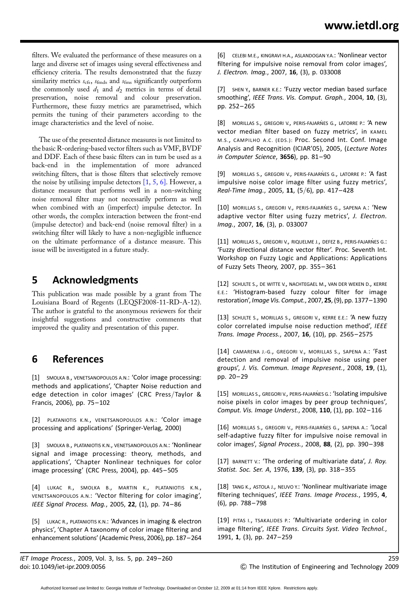filters. We evaluated the performance of these measures on a large and diverse set of images using several effectiveness and efficiency criteria. The results demonstrated that the fuzzy similarity metrics  $s_{\text{cfs}}$ ,  $s_{\text{fmds}}$  and  $s_{\text{fms}}$  significantly outperform the commonly used  $d_1$  and  $d_2$  metrics in terms of detail preservation, noise removal and colour preservation. Furthermore, these fuzzy metrics are parametrised, which permits the tuning of their parameters according to the image characteristics and the level of noise.

The use of the presented distance measures is not limited to the basic R-ordering-based vector filters such as VMF, BVDF and DDF. Each of these basic filters can in turn be used as a back-end in the implementation of more advanced switching filters, that is those filters that selectively remove the noise by utilising impulse detectors  $[1, 5, 6]$ . However, a distance measure that performs well in a non-switching noise removal filter may not necessarily perform as well when combined with an (imperfect) impulse detector. In other words, the complex interaction between the front-end (impulse detector) and back-end (noise removal filter) in a switching filter will likely to have a non-negligible influence on the ultimate performance of a distance measure. This issue will be investigated in a future study.

### 5 Acknowledgments

This publication was made possible by a grant from The Louisiana Board of Regents (LEQSF2008-11-RD-A-12). The author is grateful to the anonymous reviewers for their insightful suggestions and constructive comments that improved the quality and presentation of this paper.

### 6 References

[1] SMOLKA B., VENETSANOPOULOS A.N.: 'Color image processing: methods and applications', 'Chapter Noise reduction and edge detection in color images' (CRC Press/Taylor & Francis, 2006), pp. 75– 102

[2] PLATANIOTIS K.N., VENETSANOPOULOS A.N.: 'Color image processing and applications' (Springer-Verlag, 2000)

[3] SMOLKA B., PLATANIOTIS K.N., VENETSANOPOULOS A.N.: 'Nonlinear signal and image processing: theory, methods, and applications', 'Chapter Nonlinear techniques for color image processing' (CRC Press, 2004), pp. 445-505

[4] LUKAC R., SMOLKA B., MARTIN K., PLATANIOTIS K.N., VENETSANOPOULOS A.N.: 'Vector filtering for color imaging', IEEE Signal Process. Mag., 2005, 22, (1), pp. 74– 86

[5] LUKAC R., PLATANIOTIS K.N.: 'Advances in imaging & electron physics', 'Chapter A taxonomy of color image filtering and enhancement solutions' (Academic Press, 2006), pp. 187–264

[6] CELEBI M.E., KINGRAVI H.A., ASLANDOGAN Y.A.: 'Nonlinear vector filtering for impulsive noise removal from color images', J. Electron. Imag., 2007, 16, (3), p. 033008

[7] SHEN Y., BARNER K.E.: 'Fuzzy vector median based surface smoothing', IEEE Trans. Vis. Comput. Graph., 2004, 10, (3), pp. 252– 265

[8] MORILLAS S., GREGORI V., PERIS-FAJARNES G., LATORRE P.: 'A new vector median filter based on fuzzy metrics', in KAMEL M.S., CAMPILHO A.C. (EDS.): Proc. Second Int. Conf. Image Analysis and Recognition (ICIAR'05), 2005, (Lecture Notes in Computer Science,  $3656$ ), pp.  $81-90$ 

[9] MORILLAS S., GREGORI V., PERIS-FAJARNES G., LATORRE P.: 'A fast impulsive noise color image filter using fuzzy metrics', Real-Time Imag., 2005, 11,  $(5/6)$ , pp. 417-428

[10] MORILLAS S., GREGORI V., PERIS-FAJARNES G., SAPENA A.: 'New adaptive vector filter using fuzzy metrics', J. Electron. Imag., 2007, 16, (3), p. 033007

[11] MORILLAS S., GREGORI V., RIQUELME J., DEFEZ B., PERIS-FAJARNES G.: 'Fuzzy directional distance vector filter'. Proc. Seventh Int. Workshop on Fuzzy Logic and Applications: Applications of Fuzzy Sets Theory, 2007, pp. 355– 361

[12] SCHULTE S., DE WITTE V., NACHTEGAEL M., VAN DER WEKEN D., KERRE E.E.: 'Histogram-based fuzzy colour filter for image restoration', Image Vis. Comput., 2007, 25, (9), pp. 1377–1390

[13] SCHULTE S., MORILLAS S., GREGORI V., KERRE E.E.: 'A new fuzzy color correlated impulse noise reduction method', IEEE Trans. Image Process., 2007, 16, (10), pp. 2565– 2575

[14] CAMARENA J.-G., GREGORI V., MORILLAS S., SAPENA A.: 'Fast detection and removal of impulsive noise using peer groups', J. Vis. Commun. Image Represent., 2008, 19, (1), pp. 20– 29

[15] MORILLAS S., GREGORI V., PERIS-FAJARNES G.: 'Isolating impulsive noise pixels in color images by peer group techniques', Comput. Vis. Image Underst., 2008, 110, (1), pp. 102– 116

[16] MORILLAS S., GREGORI V., PERIS-FAJARNES G., SAPENA A.: 'Local self-adaptive fuzzy filter for impulsive noise removal in color images', Signal Process., 2008, 88, (2), pp. 390– 398

[17] BARNETT V.: 'The ordering of multivariate data', J. Roy. Statist. Soc. Ser. A, 1976, 139, (3), pp. 318-355

[18] TANG K., ASTOLA J., NEUVO Y.: 'Nonlinear multivariate image filtering techniques', IEEE Trans. Image Process., 1995, 4, (6), pp. 788– 798

[19] PITAS I., TSAKALIDES P.: 'Multivariate ordering in color image filtering', IEEE Trans. Circuits Syst. Video Technol., 1991, 1, (3), pp. 247– 259

IET Image Process., 2009, Vol. 3, Iss. 5, pp. 249– 260 259

doi: 10.1049/iet-ipr.2009.0056 & The Institution of Engineering and Technology 2009